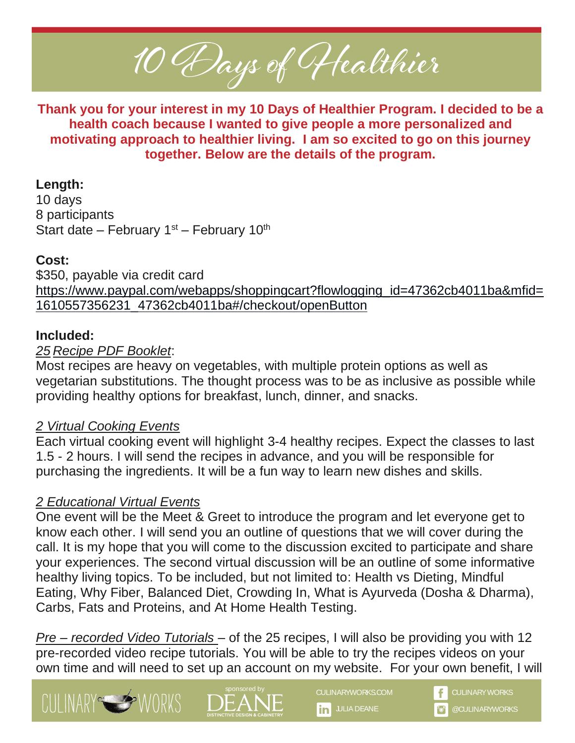10 Days of Healthier

**Thank you for your interest in my 10 Days of Healthier Program. I decided to be a health coach because I wanted to give people a more personalized and motivating approach to healthier living. I am so excited to go on this journey together. Below are the details of the program.** 

### **Length:**

10 days 8 participants Start date – February  $1<sup>st</sup>$  – February  $10<sup>th</sup>$ 

# **Cost:**

\$350, payable via credit card [https://www.paypal.com/webapps/shoppingcart?flowlogging\\_id=47362cb4011ba&mfid=](https://www.paypal.com/webapps/shoppingcart?flowlogging_id=47362cb4011ba&mfid=1610557356231_47362cb4011ba#/checkout/openButton) [1610557356231\\_47362cb4011ba#/checkout/openButton](https://www.paypal.com/webapps/shoppingcart?flowlogging_id=47362cb4011ba&mfid=1610557356231_47362cb4011ba#/checkout/openButton)

# **Included:**

## *25 Recipe PDF Booklet*:

Most recipes are heavy on vegetables, with multiple protein options as well as vegetarian substitutions. The thought process was to be as inclusive as possible while providing healthy options for breakfast, lunch, dinner, and snacks.

## *2 Virtual Cooking Events*

Each virtual cooking event will highlight 3-4 healthy recipes. Expect the classes to last 1.5 - 2 hours. I will send the recipes in advance, and you will be responsible for purchasing the ingredients. It will be a fun way to learn new dishes and skills.

# *2 Educational Virtual Events*

One event will be the Meet & Greet to introduce the program and let everyone get to know each other. I will send you an outline of questions that we will cover during the call. It is my hope that you will come to the discussion excited to participate and share your experiences. The second virtual discussion will be an outline of some informative healthy living topics. To be included, but not limited to: Health vs Dieting, Mindful Eating, Why Fiber, Balanced Diet, Crowding In, What is Ayurveda (Dosha & Dharma), Carbs, Fats and Proteins, and At Home Health Testing.

*Pre – recorded Video Tutorials* – of the 25 recipes, I will also be providing you with 12 pre-recorded video recipe tutorials. You will be able to try the recipes videos on your own time and will need to set up an account on my website. For your own benefit, I will









**in** JULIA DEANE **DEANE COULINARYWORKS**